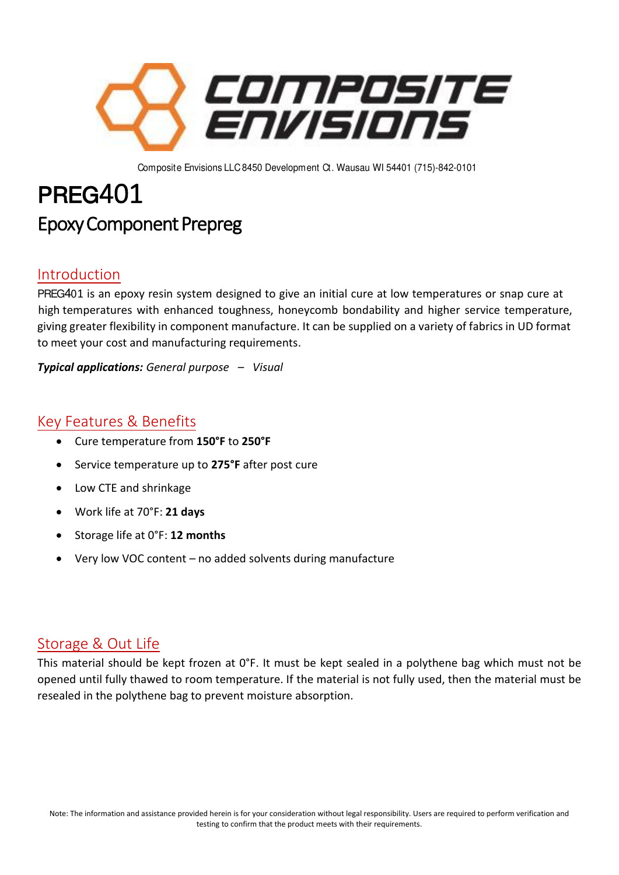

Composite Envisions LLC 8450 Development Ct. Wausau WI 54401 (715)-842-0101

# PREG401 Epoxy Component Prepreg

### Introduction

PREG401 is an epoxy resin system designed to give an initial cure at low temperatures or snap cure at high temperatures with enhanced toughness, honeycomb bondability and higher service temperature, giving greater flexibility in component manufacture. It can be supplied on a variety of fabrics in UD format to meet your cost and manufacturing requirements.

*Typical applications: General purpose – Visual*

## Key Features & Benefits

- Cure temperature from **150°F** to **250°F**
- Service temperature up to **275°F** after post cure
- Low CTE and shrinkage
- Work life at 70°F: **21 days**
- Storage life at 0°F: **12 months**
- Very low VOC content no added solvents during manufacture

#### Storage & Out Life

This material should be kept frozen at 0°F. It must be kept sealed in a polythene bag which must not be opened until fully thawed to room temperature. If the material is not fully used, then the material must be resealed in the polythene bag to prevent moisture absorption.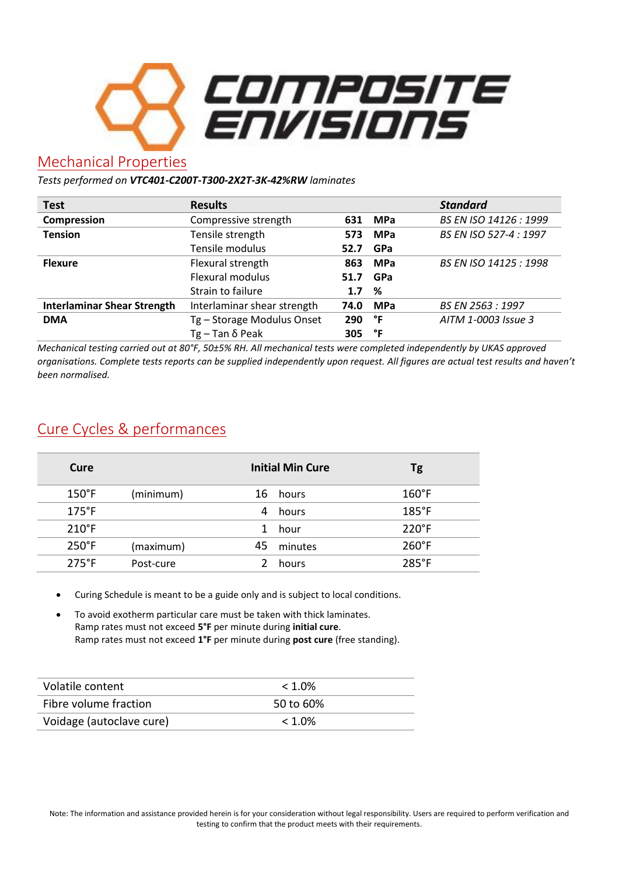

#### Mechanical Properties

*Tests performed on VTC401-C200T-T300-2X2T-3K-42%RW laminates* 

| <b>Test</b>                        | <b>Results</b>              |      |            | <b>Standard</b>        |
|------------------------------------|-----------------------------|------|------------|------------------------|
| Compression                        | Compressive strength        | 631  | <b>MPa</b> | BS EN ISO 14126 : 1999 |
| <b>Tension</b>                     | Tensile strength            | 573  | <b>MPa</b> | BS EN ISO 527-4 : 1997 |
|                                    | Tensile modulus             | 52.7 | <b>GPa</b> |                        |
| <b>Flexure</b>                     | Flexural strength           | 863  | <b>MPa</b> | BS EN ISO 14125 : 1998 |
|                                    | Flexural modulus            | 51.7 | <b>GPa</b> |                        |
|                                    | Strain to failure           | 1.7  | %          |                        |
| <b>Interlaminar Shear Strength</b> | Interlaminar shear strength | 74.0 | <b>MPa</b> | BS EN 2563 : 1997      |
| <b>DMA</b>                         | Tg - Storage Modulus Onset  | 290  | °F         | AITM 1-0003 Issue 3    |
|                                    | Tg – Tan δ Peak             | 305  | °F         |                        |

*Mechanical testing carried out at 80°F, 50±5% RH. All mechanical tests were completed independently by UKAS approved organisations. Complete tests reports can be supplied independently upon request. All figures are actual test results and haven't been normalised.* 

## Cure Cycles & performances

| Cure            |           |    | <b>Initial Min Cure</b> | Tg              |
|-----------------|-----------|----|-------------------------|-----------------|
| $150^{\circ}$ F | (minimum) |    | 16 hours                | $160^{\circ}$ F |
| $175^{\circ}$ F |           | 4  | hours                   | 185°F           |
| $210^{\circ}$ F |           | 1  | hour                    | $220^\circ F$   |
| $250^{\circ}$ F | (maximum) | 45 | minutes                 | $260^{\circ}$ F |
| $275^{\circ}F$  | Post-cure |    | hours                   | 285°F           |
|                 |           |    |                         |                 |

• Curing Schedule is meant to be a guide only and is subject to local conditions.

• To avoid exotherm particular care must be taken with thick laminates. Ramp rates must not exceed **5°F** per minute during **initial cure**. Ramp rates must not exceed **1°F** per minute during **post cure** (free standing).

| Volatile content         | $< 1.0\%$ |
|--------------------------|-----------|
| Fibre volume fraction    | 50 to 60% |
| Voidage (autoclave cure) | $< 1.0\%$ |